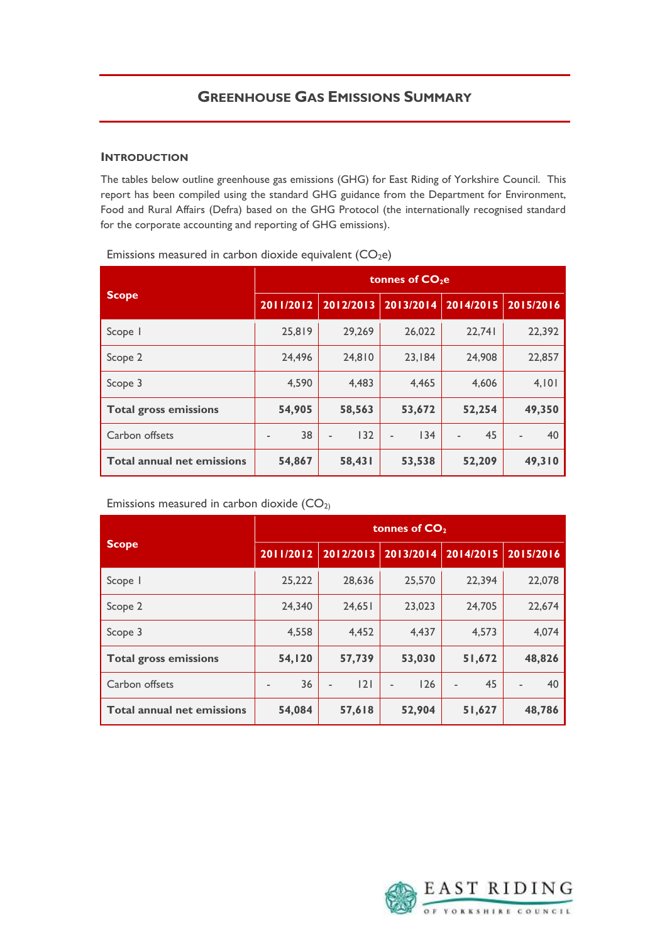## **INTRODUCTION**

 The tables below outline greenhouse gas emissions (GHG) for East Riding of Yorkshire Council. This report has been compiled using the standard GHG guidance from the Department for Environment, Food and Rural Affairs (Defra) based on the GHG Protocol (the internationally recognised standard for the corporate accounting and reporting of GHG emissions).

|                                   | tonnes of CO <sub>2</sub> e |           |           |           |           |  |  |
|-----------------------------------|-----------------------------|-----------|-----------|-----------|-----------|--|--|
| <b>Scope</b>                      | 2011/2012                   | 2012/2013 | 2013/2014 | 2014/2015 | 2015/2016 |  |  |
| Scope I                           | 25.819                      | 29.269    | 26,022    | 22.741    | 22,392    |  |  |
| Scope 2                           | 24.496                      | 24.810    | 23.184    | 24,908    | 22,857    |  |  |
| Scope 3                           | 4,590                       | 4,483     | 4,465     | 4,606     | 4,101     |  |  |
| <b>Total gross emissions</b>      | 54,905                      | 58,563    | 53,672    | 52,254    | 49,350    |  |  |
| Carbon offsets                    | 38                          | 132       | 134       | 45        | 40        |  |  |
| <b>Total annual net emissions</b> | 54,867                      | 58,431    | 53,538    | 52,209    | 49,310    |  |  |

Emissions measured in carbon dioxide equivalent  $(CO<sub>2</sub>e)$ 

Emissions measured in carbon dioxide  $(CO<sub>2</sub>)$ 

|                                   | tonnes of $CO2$ |           |           |           |                                    |  |
|-----------------------------------|-----------------|-----------|-----------|-----------|------------------------------------|--|
| <b>Scope</b>                      | 2011/2012       | 2012/2013 | 2013/2014 | 2014/2015 | 2015/2016                          |  |
| Scope I                           | 25,222          | 28,636    | 25,570    | 22,394    | 22,078                             |  |
| Scope 2                           | 24.340          | 24,651    | 23,023    | 24,705    | 22,674                             |  |
| Scope 3                           | 4,558           | 4,452     | 4,437     | 4,573     | 4,074                              |  |
| <b>Total gross emissions</b>      | 54,120          | 57,739    | 53,030    | 51,672    | 48,826                             |  |
| Carbon offsets                    | 36              | 2         | 126       | 45        | 40<br>$\qquad \qquad \blacksquare$ |  |
| <b>Total annual net emissions</b> | 54,084          | 57,618    | 52,904    | 51,627    | 48,786                             |  |